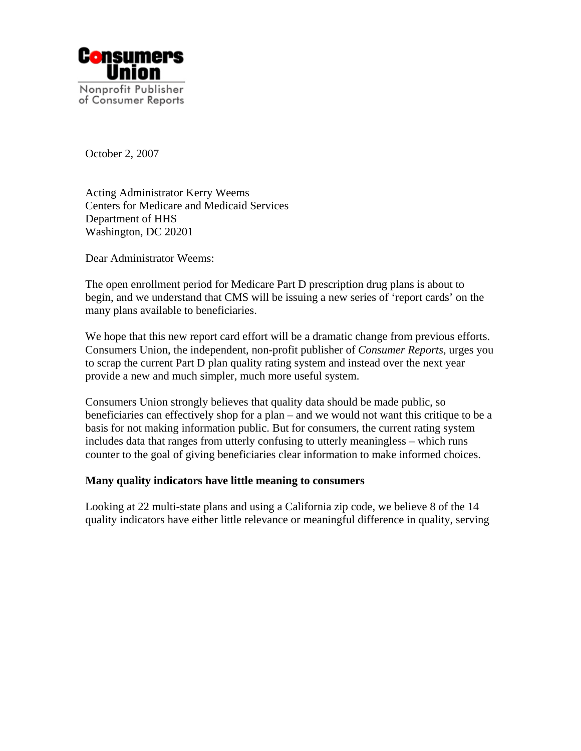

October 2, 2007

Acting Administrator Kerry Weems Centers for Medicare and Medicaid Services Department of HHS Washington, DC 20201

Dear Administrator Weems:

The open enrollment period for Medicare Part D prescription drug plans is about to begin, and we understand that CMS will be issuing a new series of 'report cards' on the many plans available to beneficiaries.

We hope that this new report card effort will be a dramatic change from previous efforts. Consumers Union, the independent, non-profit publisher of *Consumer Reports*, urges you to scrap the current Part D plan quality rating system and instead over the next year provide a new and much simpler, much more useful system.

Consumers Union strongly believes that quality data should be made public, so beneficiaries can effectively shop for a plan – and we would not want this critique to be a basis for not making information public. But for consumers, the current rating system includes data that ranges from utterly confusing to utterly meaningless – which runs counter to the goal of giving beneficiaries clear information to make informed choices.

## **Many quality indicators have little meaning to consumers**

Looking at 22 multi-state plans and using a California zip code, we believe 8 of the 14 quality indicators have either little relevance or meaningful difference in quality, serving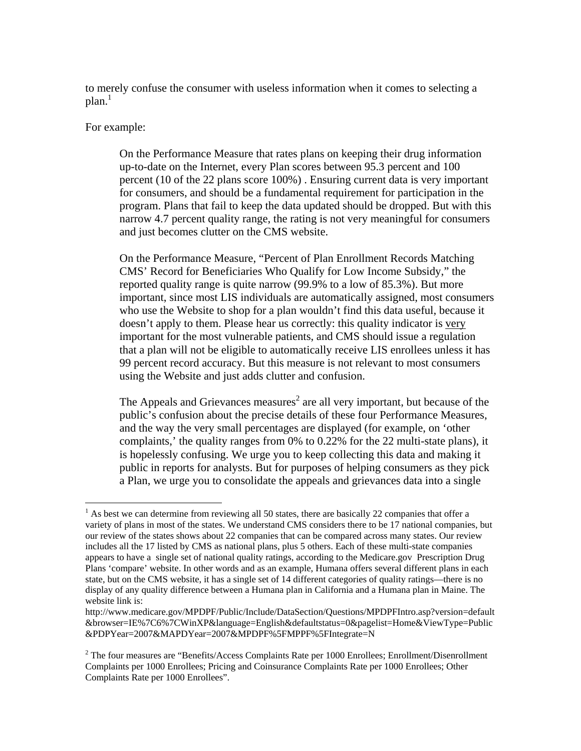to merely confuse the consumer with useless information when it comes to selecting a plan. $^1$  $^1$ 

#### For example:

1

On the Performance Measure that rates plans on keeping their drug information up-to-date on the Internet, every Plan scores between 95.3 percent and 100 percent (10 of the 22 plans score 100%) . Ensuring current data is very important for consumers, and should be a fundamental requirement for participation in the program. Plans that fail to keep the data updated should be dropped. But with this narrow 4.7 percent quality range, the rating is not very meaningful for consumers and just becomes clutter on the CMS website.

On the Performance Measure, "Percent of Plan Enrollment Records Matching CMS' Record for Beneficiaries Who Qualify for Low Income Subsidy," the reported quality range is quite narrow (99.9% to a low of 85.3%). But more important, since most LIS individuals are automatically assigned, most consumers who use the Website to shop for a plan wouldn't find this data useful, because it doesn't apply to them. Please hear us correctly: this quality indicator is very important for the most vulnerable patients, and CMS should issue a regulation that a plan will not be eligible to automatically receive LIS enrollees unless it has 99 percent record accuracy. But this measure is not relevant to most consumers using the Website and just adds clutter and confusion.

The Appeals and Grievances measures<sup>[2](#page-1-1)</sup> are all very important, but because of the public's confusion about the precise details of these four Performance Measures, and the way the very small percentages are displayed (for example, on 'other complaints,' the quality ranges from 0% to 0.22% for the 22 multi-state plans), it is hopelessly confusing. We urge you to keep collecting this data and making it public in reports for analysts. But for purposes of helping consumers as they pick a Plan, we urge you to consolidate the appeals and grievances data into a single

<span id="page-1-0"></span> $<sup>1</sup>$  As best we can determine from reviewing all 50 states, there are basically 22 companies that offer a</sup> variety of plans in most of the states. We understand CMS considers there to be 17 national companies, but our review of the states shows about 22 companies that can be compared across many states. Our review includes all the 17 listed by CMS as national plans, plus 5 others. Each of these multi-state companies appears to have a single set of national quality ratings, according to the Medicare.gov Prescription Drug Plans 'compare' website. In other words and as an example, Humana offers several different plans in each state, but on the CMS website, it has a single set of 14 different categories of quality ratings—there is no display of any quality difference between a Humana plan in California and a Humana plan in Maine. The website link is:

http://www.medicare.gov/MPDPF/Public/Include/DataSection/Questions/MPDPFIntro.asp?version=default &browser=IE%7C6%7CWinXP&language=English&defaultstatus=0&pagelist=Home&ViewType=Public &PDPYear=2007&MAPDYear=2007&MPDPF%5FMPPF%5FIntegrate=N

<span id="page-1-1"></span> $2^2$  The four measures are "Benefits/Access Complaints Rate per 1000 Enrollees; Enrollment/Disenrollment Complaints per 1000 Enrollees; Pricing and Coinsurance Complaints Rate per 1000 Enrollees; Other Complaints Rate per 1000 Enrollees".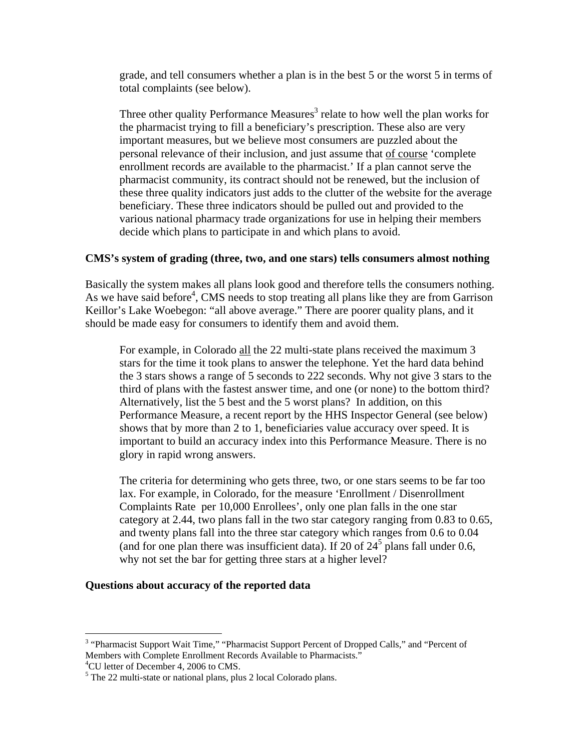grade, and tell consumers whether a plan is in the best 5 or the worst 5 in terms of total complaints (see below).

Three other quality Performance Measures<sup>[3](#page-2-0)</sup> relate to how well the plan works for the pharmacist trying to fill a beneficiary's prescription. These also are very important measures, but we believe most consumers are puzzled about the personal relevance of their inclusion, and just assume that of course 'complete enrollment records are available to the pharmacist.' If a plan cannot serve the pharmacist community, its contract should not be renewed, but the inclusion of these three quality indicators just adds to the clutter of the website for the average beneficiary. These three indicators should be pulled out and provided to the various national pharmacy trade organizations for use in helping their members decide which plans to participate in and which plans to avoid.

## **CMS's system of grading (three, two, and one stars) tells consumers almost nothing**

Basically the system makes all plans look good and therefore tells the consumers nothing. As we have said before<sup>4</sup>, CMS needs to stop treating all plans like they are from Garrison Keillor's Lake Woebegon: "all above average." There are poorer quality plans, and it should be made easy for consumers to identify them and avoid them.

For example, in Colorado all the 22 multi-state plans received the maximum 3 stars for the time it took plans to answer the telephone. Yet the hard data behind the 3 stars shows a range of 5 seconds to 222 seconds. Why not give 3 stars to the third of plans with the fastest answer time, and one (or none) to the bottom third? Alternatively, list the 5 best and the 5 worst plans? In addition, on this Performance Measure, a recent report by the HHS Inspector General (see below) shows that by more than 2 to 1, beneficiaries value accuracy over speed. It is important to build an accuracy index into this Performance Measure. There is no glory in rapid wrong answers.

The criteria for determining who gets three, two, or one stars seems to be far too lax. For example, in Colorado, for the measure 'Enrollment / Disenrollment Complaints Rate per 10,000 Enrollees', only one plan falls in the one star category at 2.44, two plans fall in the two star category ranging from 0.83 to 0.65, and twenty plans fall into the three star category which ranges from 0.6 to 0.04 (and for one [p](#page-2-2)lan there was insufficient data). If 20 of  $24<sup>5</sup>$  plans fall under 0.6, why not set the bar for getting three stars at a higher level?

### **Questions about accuracy of the reported data**

<u>.</u>

<span id="page-2-0"></span><sup>&</sup>lt;sup>3</sup> "Pharmacist Support Wait Time," "Pharmacist Support Percent of Dropped Calls," and "Percent of Members with Complete Enrollment Records Available to Pharmacists."

<span id="page-2-1"></span><sup>&</sup>lt;sup>4</sup>CU letter of December 4, 2006 to CMS.

<span id="page-2-2"></span> $<sup>5</sup>$  The 22 multi-state or national plans, plus 2 local Colorado plans.</sup>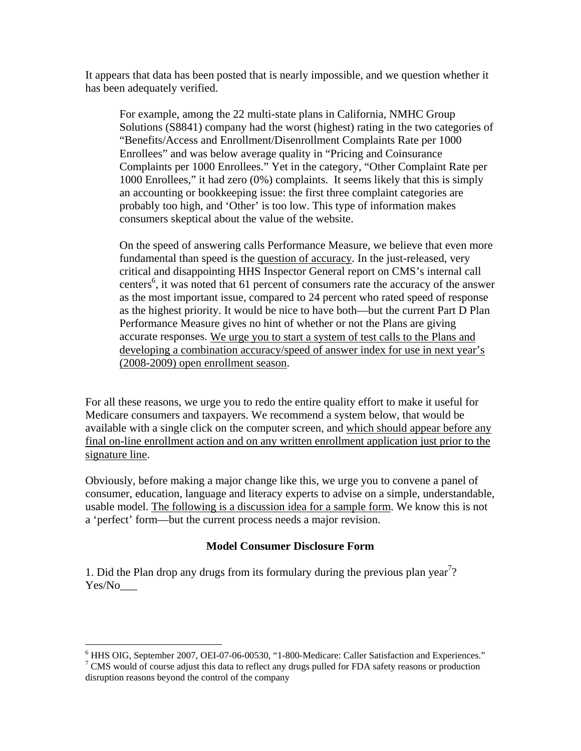It appears that data has been posted that is nearly impossible, and we question whether it has been adequately verified.

For example, among the 22 multi-state plans in California, NMHC Group Solutions (S8841) company had the worst (highest) rating in the two categories of "Benefits/Access and Enrollment/Disenrollment Complaints Rate per 1000 Enrollees" and was below average quality in "Pricing and Coinsurance Complaints per 1000 Enrollees." Yet in the category, "Other Complaint Rate per 1000 Enrollees," it had zero (0%) complaints. It seems likely that this is simply an accounting or bookkeeping issue: the first three complaint categories are probably too high, and 'Other' is too low. This type of information makes consumers skeptical about the value of the website.

On the speed of answering calls Performance Measure, we believe that even more fundamental than speed is the question of accuracy. In the just-released, very critical and disappointing HHS Inspector General report on CMS's internal call centers<sup>6</sup>, it was noted that 61 percent of consumers rate the accuracy of the answer as the most important issue, compared to 24 percent who rated speed of response as the highest priority. It would be nice to have both—but the current Part D Plan Performance Measure gives no hint of whether or not the Plans are giving accurate responses. We urge you to start a system of test calls to the Plans and developing a combination accuracy/speed of answer index for use in next year's (2008-2009) open enrollment season.

For all these reasons, we urge you to redo the entire quality effort to make it useful for Medicare consumers and taxpayers. We recommend a system below, that would be available with a single click on the computer screen, and which should appear before any final on-line enrollment action and on any written enrollment application just prior to the signature line.

Obviously, before making a major change like this, we urge you to convene a panel of consumer, education, language and literacy experts to advise on a simple, understandable, usable model. The following is a discussion idea for a sample form. We know this is not a 'perfect' form—but the current process needs a major revision.

# **Model Consumer Disclosure Form**

1. Did the Plan drop any drugs from its formulary during the previous plan year<sup>[7](#page-3-1)</sup>? Yes/No\_\_\_

 $\overline{a}$ <sup>6</sup> HHS OIG, September 2007, OEI-07-06-00530, "1-800-Medicare: Caller Satisfaction and Experiences."<br><sup>7</sup> CMS would of gourse adjust this data to reflect any drugs pulled for EDA sefety reasons or production

<span id="page-3-1"></span><span id="page-3-0"></span>CMS would of course adjust this data to reflect any drugs pulled for FDA safety reasons or production disruption reasons beyond the control of the company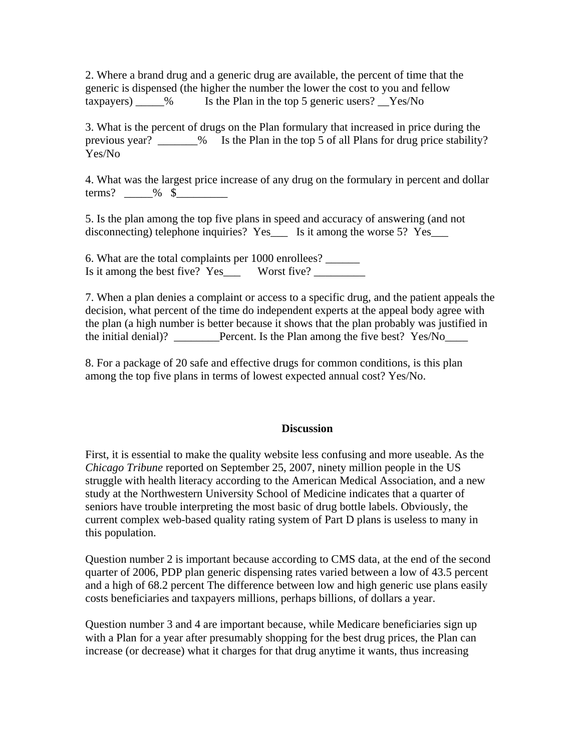2. Where a brand drug and a generic drug are available, the percent of time that the generic is dispensed (the higher the number the lower the cost to you and fellow taxpayers) \_\_\_\_\_% Is the Plan in the top 5 generic users? \_\_Yes/No

3. What is the percent of drugs on the Plan formulary that increased in price during the previous year? \_\_\_\_\_\_\_% Is the Plan in the top 5 of all Plans for drug price stability? Yes/No

4. What was the largest price increase of any drug on the formulary in percent and dollar terms?  $\_\_\_\%$ 

5. Is the plan among the top five plans in speed and accuracy of answering (and not disconnecting) telephone inquiries? Yes\_\_\_ Is it among the worse 5? Yes\_\_\_

6. What are the total complaints per 1000 enrollees? \_\_\_\_\_\_ Is it among the best five? Yes Worst five?

7. When a plan denies a complaint or access to a specific drug, and the patient appeals the decision, what percent of the time do independent experts at the appeal body agree with the plan (a high number is better because it shows that the plan probably was justified in the initial denial)? **Denote Plan among the five best?** Yes/No

8. For a package of 20 safe and effective drugs for common conditions, is this plan among the top five plans in terms of lowest expected annual cost? Yes/No.

### **Discussion**

First, it is essential to make the quality website less confusing and more useable. As the *Chicago Tribune* reported on September 25, 2007, ninety million people in the US struggle with health literacy according to the American Medical Association, and a new study at the Northwestern University School of Medicine indicates that a quarter of seniors have trouble interpreting the most basic of drug bottle labels. Obviously, the current complex web-based quality rating system of Part D plans is useless to many in this population.

Question number 2 is important because according to CMS data, at the end of the second quarter of 2006, PDP plan generic dispensing rates varied between a low of 43.5 percent and a high of 68.2 percent The difference between low and high generic use plans easily costs beneficiaries and taxpayers millions, perhaps billions, of dollars a year.

Question number 3 and 4 are important because, while Medicare beneficiaries sign up with a Plan for a year after presumably shopping for the best drug prices, the Plan can increase (or decrease) what it charges for that drug anytime it wants, thus increasing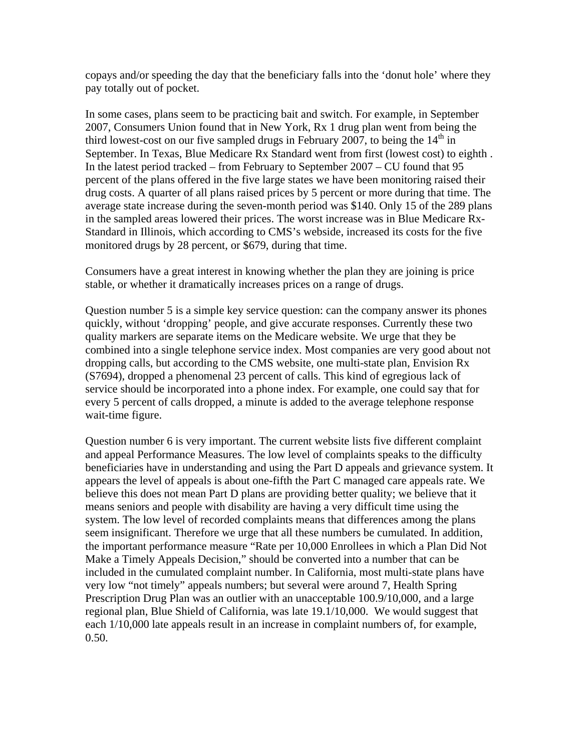copays and/or speeding the day that the beneficiary falls into the 'donut hole' where they pay totally out of pocket.

In some cases, plans seem to be practicing bait and switch. For example, in September 2007, Consumers Union found that in New York, Rx 1 drug plan went from being the third lowest-cost on our five sampled drugs in February 2007, to being the  $14<sup>th</sup>$  in September. In Texas, Blue Medicare Rx Standard went from first (lowest cost) to eighth . In the latest period tracked – from February to September 2007 – CU found that 95 percent of the plans offered in the five large states we have been monitoring raised their drug costs. A quarter of all plans raised prices by 5 percent or more during that time. The average state increase during the seven-month period was \$140. Only 15 of the 289 plans in the sampled areas lowered their prices. The worst increase was in Blue Medicare Rx-Standard in Illinois, which according to CMS's webside, increased its costs for the five monitored drugs by 28 percent, or \$679, during that time.

Consumers have a great interest in knowing whether the plan they are joining is price stable, or whether it dramatically increases prices on a range of drugs.

Question number 5 is a simple key service question: can the company answer its phones quickly, without 'dropping' people, and give accurate responses. Currently these two quality markers are separate items on the Medicare website. We urge that they be combined into a single telephone service index. Most companies are very good about not dropping calls, but according to the CMS website, one multi-state plan, Envision Rx (S7694), dropped a phenomenal 23 percent of calls. This kind of egregious lack of service should be incorporated into a phone index. For example, one could say that for every 5 percent of calls dropped, a minute is added to the average telephone response wait-time figure.

Question number 6 is very important. The current website lists five different complaint and appeal Performance Measures. The low level of complaints speaks to the difficulty beneficiaries have in understanding and using the Part D appeals and grievance system. It appears the level of appeals is about one-fifth the Part C managed care appeals rate. We believe this does not mean Part D plans are providing better quality; we believe that it means seniors and people with disability are having a very difficult time using the system. The low level of recorded complaints means that differences among the plans seem insignificant. Therefore we urge that all these numbers be cumulated. In addition, the important performance measure "Rate per 10,000 Enrollees in which a Plan Did Not Make a Timely Appeals Decision," should be converted into a number that can be included in the cumulated complaint number. In California, most multi-state plans have very low "not timely" appeals numbers; but several were around 7, Health Spring Prescription Drug Plan was an outlier with an unacceptable 100.9/10,000, and a large regional plan, Blue Shield of California, was late 19.1/10,000. We would suggest that each 1/10,000 late appeals result in an increase in complaint numbers of, for example, 0.50.